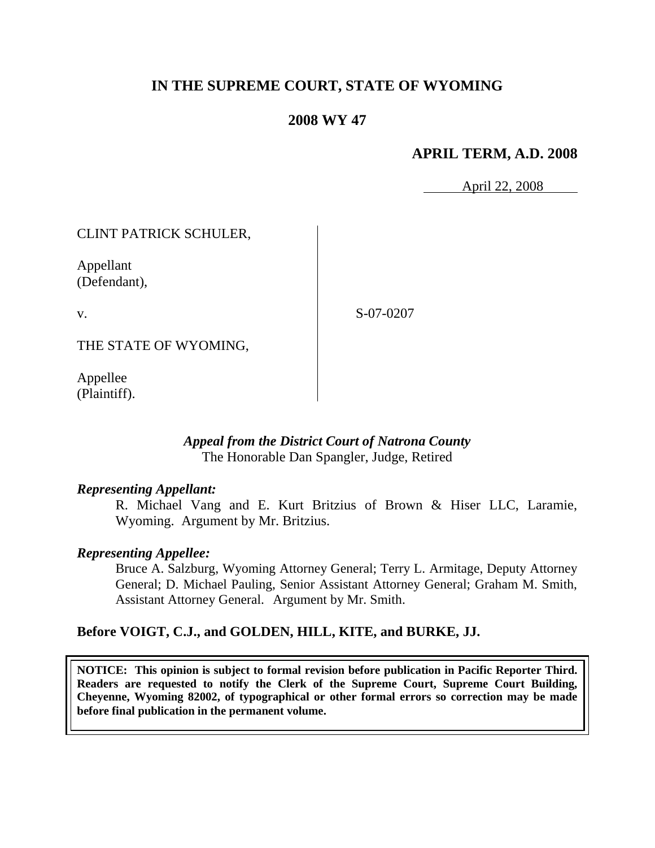# **IN THE SUPREME COURT, STATE OF WYOMING**

## **2008 WY 47**

## **APRIL TERM, A.D. 2008**

April 22, 2008

## CLINT PATRICK SCHULER,

Appellant (Defendant),

v.

S-07-0207

THE STATE OF WYOMING,

Appellee (Plaintiff).

### *Appeal from the District Court of Natrona County* The Honorable Dan Spangler, Judge, Retired

### *Representing Appellant:*

R. Michael Vang and E. Kurt Britzius of Brown & Hiser LLC, Laramie, Wyoming. Argument by Mr. Britzius.

### *Representing Appellee:*

Bruce A. Salzburg, Wyoming Attorney General; Terry L. Armitage, Deputy Attorney General; D. Michael Pauling, Senior Assistant Attorney General; Graham M. Smith, Assistant Attorney General. Argument by Mr. Smith.

## **Before VOIGT, C.J., and GOLDEN, HILL, KITE, and BURKE, JJ.**

**NOTICE: This opinion is subject to formal revision before publication in Pacific Reporter Third. Readers are requested to notify the Clerk of the Supreme Court, Supreme Court Building, Cheyenne, Wyoming 82002, of typographical or other formal errors so correction may be made before final publication in the permanent volume.**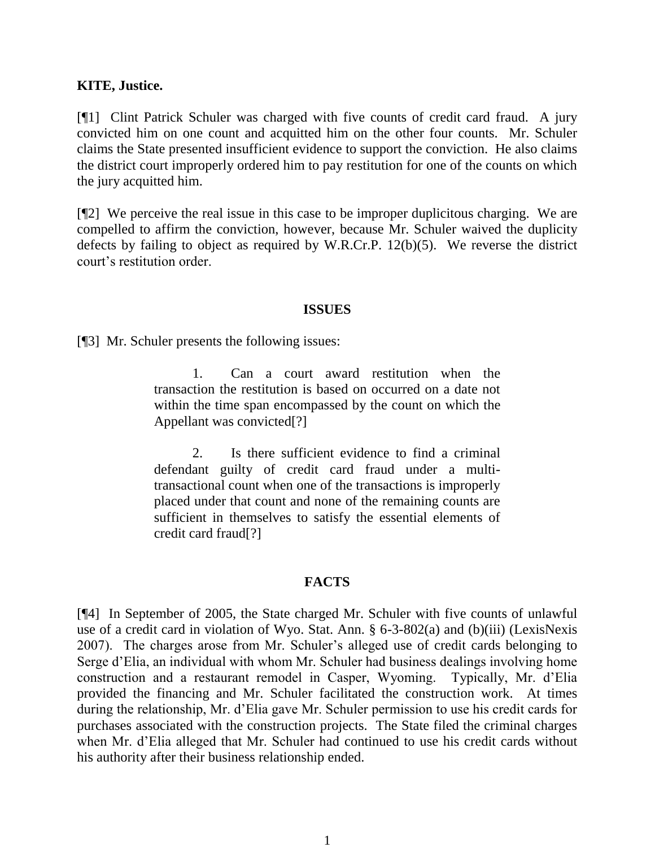#### **KITE, Justice.**

[¶1] Clint Patrick Schuler was charged with five counts of credit card fraud. A jury convicted him on one count and acquitted him on the other four counts. Mr. Schuler claims the State presented insufficient evidence to support the conviction. He also claims the district court improperly ordered him to pay restitution for one of the counts on which the jury acquitted him.

[¶2] We perceive the real issue in this case to be improper duplicitous charging. We are compelled to affirm the conviction, however, because Mr. Schuler waived the duplicity defects by failing to object as required by W.R.Cr.P. 12(b)(5). We reverse the district court's restitution order.

#### **ISSUES**

[¶3] Mr. Schuler presents the following issues:

1. Can a court award restitution when the transaction the restitution is based on occurred on a date not within the time span encompassed by the count on which the Appellant was convicted[?]

2. Is there sufficient evidence to find a criminal defendant guilty of credit card fraud under a multitransactional count when one of the transactions is improperly placed under that count and none of the remaining counts are sufficient in themselves to satisfy the essential elements of credit card fraud[?]

#### **FACTS**

[¶4] In September of 2005, the State charged Mr. Schuler with five counts of unlawful use of a credit card in violation of Wyo. Stat. Ann. § 6-3-802(a) and (b)(iii) (LexisNexis 2007). The charges arose from Mr. Schuler's alleged use of credit cards belonging to Serge d'Elia, an individual with whom Mr. Schuler had business dealings involving home construction and a restaurant remodel in Casper, Wyoming. Typically, Mr. d'Elia provided the financing and Mr. Schuler facilitated the construction work. At times during the relationship, Mr. d'Elia gave Mr. Schuler permission to use his credit cards for purchases associated with the construction projects. The State filed the criminal charges when Mr. d'Elia alleged that Mr. Schuler had continued to use his credit cards without his authority after their business relationship ended.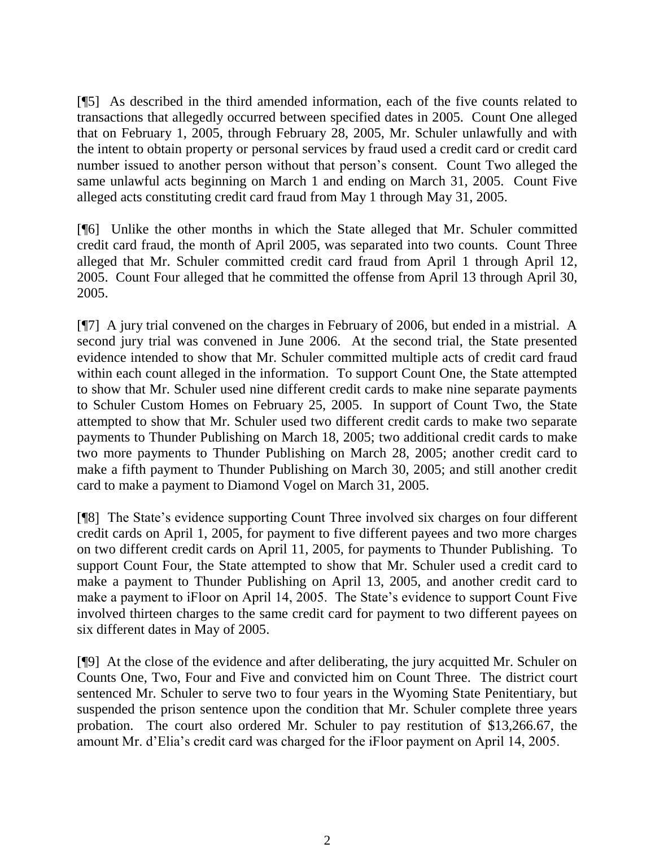[¶5] As described in the third amended information, each of the five counts related to transactions that allegedly occurred between specified dates in 2005. Count One alleged that on February 1, 2005, through February 28, 2005, Mr. Schuler unlawfully and with the intent to obtain property or personal services by fraud used a credit card or credit card number issued to another person without that person's consent. Count Two alleged the same unlawful acts beginning on March 1 and ending on March 31, 2005. Count Five alleged acts constituting credit card fraud from May 1 through May 31, 2005.

[¶6] Unlike the other months in which the State alleged that Mr. Schuler committed credit card fraud, the month of April 2005, was separated into two counts. Count Three alleged that Mr. Schuler committed credit card fraud from April 1 through April 12, 2005. Count Four alleged that he committed the offense from April 13 through April 30, 2005.

[¶7] A jury trial convened on the charges in February of 2006, but ended in a mistrial. A second jury trial was convened in June 2006. At the second trial, the State presented evidence intended to show that Mr. Schuler committed multiple acts of credit card fraud within each count alleged in the information. To support Count One, the State attempted to show that Mr. Schuler used nine different credit cards to make nine separate payments to Schuler Custom Homes on February 25, 2005. In support of Count Two, the State attempted to show that Mr. Schuler used two different credit cards to make two separate payments to Thunder Publishing on March 18, 2005; two additional credit cards to make two more payments to Thunder Publishing on March 28, 2005; another credit card to make a fifth payment to Thunder Publishing on March 30, 2005; and still another credit card to make a payment to Diamond Vogel on March 31, 2005.

[¶8] The State's evidence supporting Count Three involved six charges on four different credit cards on April 1, 2005, for payment to five different payees and two more charges on two different credit cards on April 11, 2005, for payments to Thunder Publishing. To support Count Four, the State attempted to show that Mr. Schuler used a credit card to make a payment to Thunder Publishing on April 13, 2005, and another credit card to make a payment to iFloor on April 14, 2005. The State's evidence to support Count Five involved thirteen charges to the same credit card for payment to two different payees on six different dates in May of 2005.

[¶9] At the close of the evidence and after deliberating, the jury acquitted Mr. Schuler on Counts One, Two, Four and Five and convicted him on Count Three. The district court sentenced Mr. Schuler to serve two to four years in the Wyoming State Penitentiary, but suspended the prison sentence upon the condition that Mr. Schuler complete three years probation. The court also ordered Mr. Schuler to pay restitution of \$13,266.67, the amount Mr. d'Elia's credit card was charged for the iFloor payment on April 14, 2005.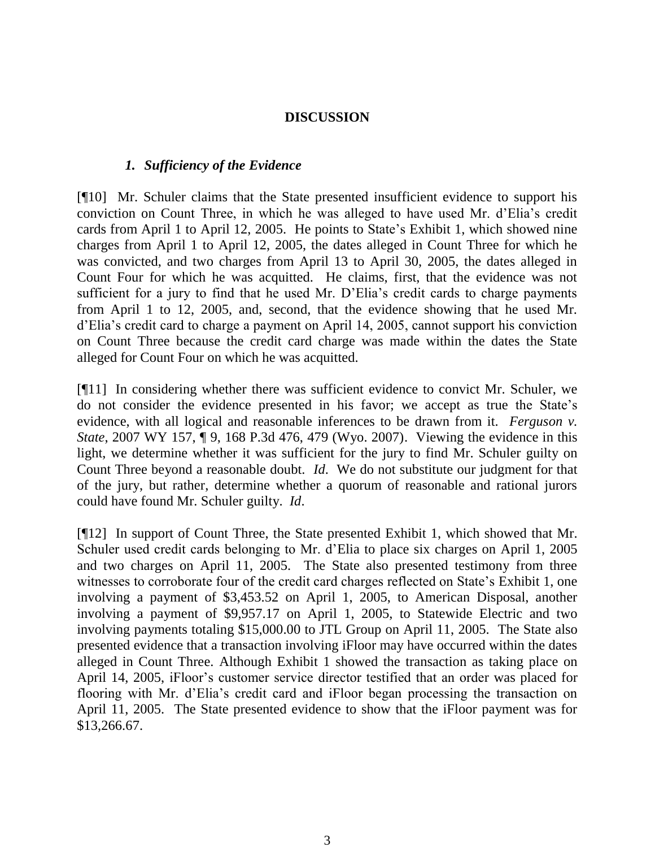### **DISCUSSION**

### *1. Sufficiency of the Evidence*

[¶10] Mr. Schuler claims that the State presented insufficient evidence to support his conviction on Count Three, in which he was alleged to have used Mr. d'Elia's credit cards from April 1 to April 12, 2005. He points to State's Exhibit 1, which showed nine charges from April 1 to April 12, 2005, the dates alleged in Count Three for which he was convicted, and two charges from April 13 to April 30, 2005, the dates alleged in Count Four for which he was acquitted. He claims, first, that the evidence was not sufficient for a jury to find that he used Mr. D'Elia's credit cards to charge payments from April 1 to 12, 2005, and, second, that the evidence showing that he used Mr. d'Elia's credit card to charge a payment on April 14, 2005, cannot support his conviction on Count Three because the credit card charge was made within the dates the State alleged for Count Four on which he was acquitted.

[¶11] In considering whether there was sufficient evidence to convict Mr. Schuler, we do not consider the evidence presented in his favor; we accept as true the State's evidence, with all logical and reasonable inferences to be drawn from it. *Ferguson v. State*, 2007 WY 157, ¶ 9, 168 P.3d 476, 479 (Wyo. 2007). Viewing the evidence in this light, we determine whether it was sufficient for the jury to find Mr. Schuler guilty on Count Three beyond a reasonable doubt. *Id*. We do not substitute our judgment for that of the jury, but rather, determine whether a quorum of reasonable and rational jurors could have found Mr. Schuler guilty. *Id*.

[¶12] In support of Count Three, the State presented Exhibit 1, which showed that Mr. Schuler used credit cards belonging to Mr. d'Elia to place six charges on April 1, 2005 and two charges on April 11, 2005. The State also presented testimony from three witnesses to corroborate four of the credit card charges reflected on State's Exhibit 1, one involving a payment of \$3,453.52 on April 1, 2005, to American Disposal, another involving a payment of \$9,957.17 on April 1, 2005, to Statewide Electric and two involving payments totaling \$15,000.00 to JTL Group on April 11, 2005. The State also presented evidence that a transaction involving iFloor may have occurred within the dates alleged in Count Three. Although Exhibit 1 showed the transaction as taking place on April 14, 2005, iFloor's customer service director testified that an order was placed for flooring with Mr. d'Elia's credit card and iFloor began processing the transaction on April 11, 2005. The State presented evidence to show that the iFloor payment was for \$13,266.67.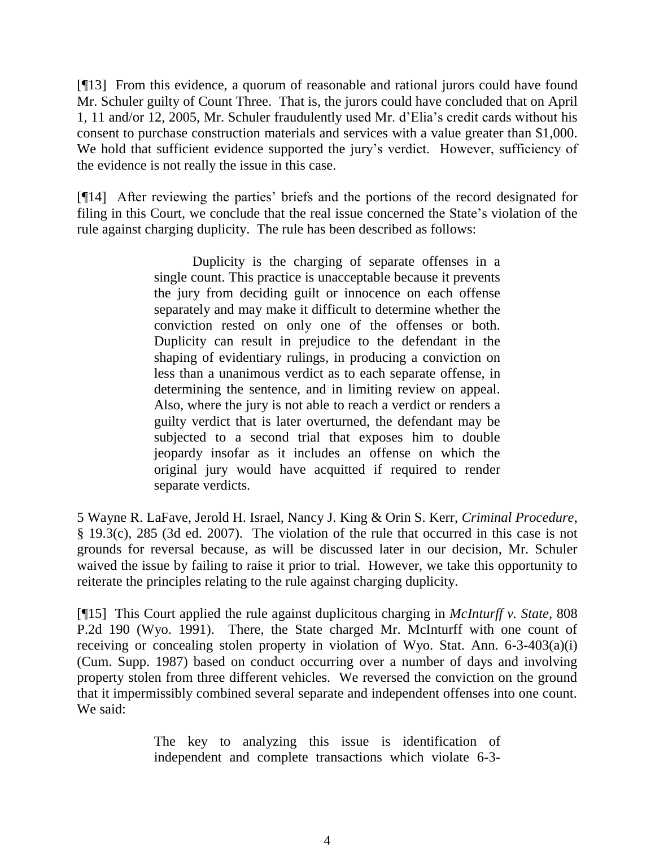[¶13] From this evidence, a quorum of reasonable and rational jurors could have found Mr. Schuler guilty of Count Three. That is, the jurors could have concluded that on April 1, 11 and/or 12, 2005, Mr. Schuler fraudulently used Mr. d'Elia's credit cards without his consent to purchase construction materials and services with a value greater than \$1,000. We hold that sufficient evidence supported the jury's verdict. However, sufficiency of the evidence is not really the issue in this case.

[¶14] After reviewing the parties' briefs and the portions of the record designated for filing in this Court, we conclude that the real issue concerned the State's violation of the rule against charging duplicity. The rule has been described as follows:

> Duplicity is the charging of separate offenses in a single count. This practice is unacceptable because it prevents the jury from deciding guilt or innocence on each offense separately and may make it difficult to determine whether the conviction rested on only one of the offenses or both. Duplicity can result in prejudice to the defendant in the shaping of evidentiary rulings, in producing a conviction on less than a unanimous verdict as to each separate offense, in determining the sentence, and in limiting review on appeal. Also, where the jury is not able to reach a verdict or renders a guilty verdict that is later overturned, the defendant may be subjected to a second trial that exposes him to double jeopardy insofar as it includes an offense on which the original jury would have acquitted if required to render separate verdicts.

5 Wayne R. LaFave, Jerold H. Israel, Nancy J. King & Orin S. Kerr, *Criminal Procedure*, § 19.3(c), 285 (3d ed. 2007). The violation of the rule that occurred in this case is not grounds for reversal because, as will be discussed later in our decision, Mr. Schuler waived the issue by failing to raise it prior to trial. However, we take this opportunity to reiterate the principles relating to the rule against charging duplicity.

[¶15] This Court applied the rule against duplicitous charging in *McInturff v. State*, 808 P.2d 190 (Wyo. 1991). There, the State charged Mr. McInturff with one count of receiving or concealing stolen property in violation of Wyo. Stat. Ann. 6-3-403(a)(i) (Cum. Supp. 1987) based on conduct occurring over a number of days and involving property stolen from three different vehicles. We reversed the conviction on the ground that it impermissibly combined several separate and independent offenses into one count. We said:

> The key to analyzing this issue is identification of independent and complete transactions which violate 6-3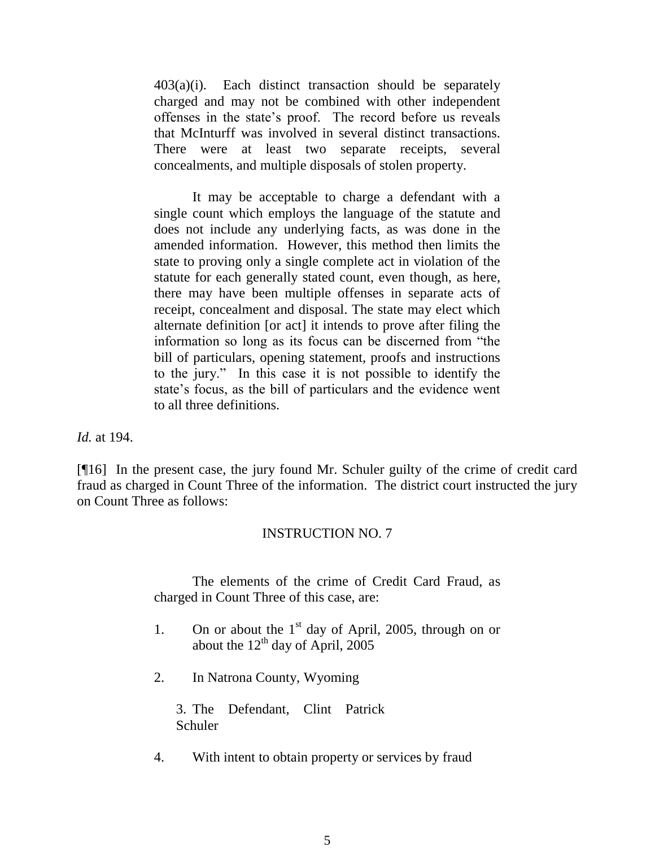$403(a)(i)$ . Each distinct transaction should be separately charged and may not be combined with other independent offenses in the state's proof. The record before us reveals that McInturff was involved in several distinct transactions. There were at least two separate receipts, several concealments, and multiple disposals of stolen property.

It may be acceptable to charge a defendant with a single count which employs the language of the statute and does not include any underlying facts, as was done in the amended information. However, this method then limits the state to proving only a single complete act in violation of the statute for each generally stated count, even though, as here, there may have been multiple offenses in separate acts of receipt, concealment and disposal. The state may elect which alternate definition [or act] it intends to prove after filing the information so long as its focus can be discerned from "the bill of particulars, opening statement, proofs and instructions to the jury." In this case it is not possible to identify the state's focus, as the bill of particulars and the evidence went to all three definitions.

*Id.* at 194.

[¶16] In the present case, the jury found Mr. Schuler guilty of the crime of credit card fraud as charged in Count Three of the information. The district court instructed the jury on Count Three as follows:

### INSTRUCTION NO. 7

The elements of the crime of Credit Card Fraud, as charged in Count Three of this case, are:

- 1. On or about the  $1<sup>st</sup>$  day of April, 2005, through on or about the  $12<sup>th</sup>$  day of April, 2005
- 2. In Natrona County, Wyoming

3. The Defendant, Clint Patrick Schuler

4. With intent to obtain property or services by fraud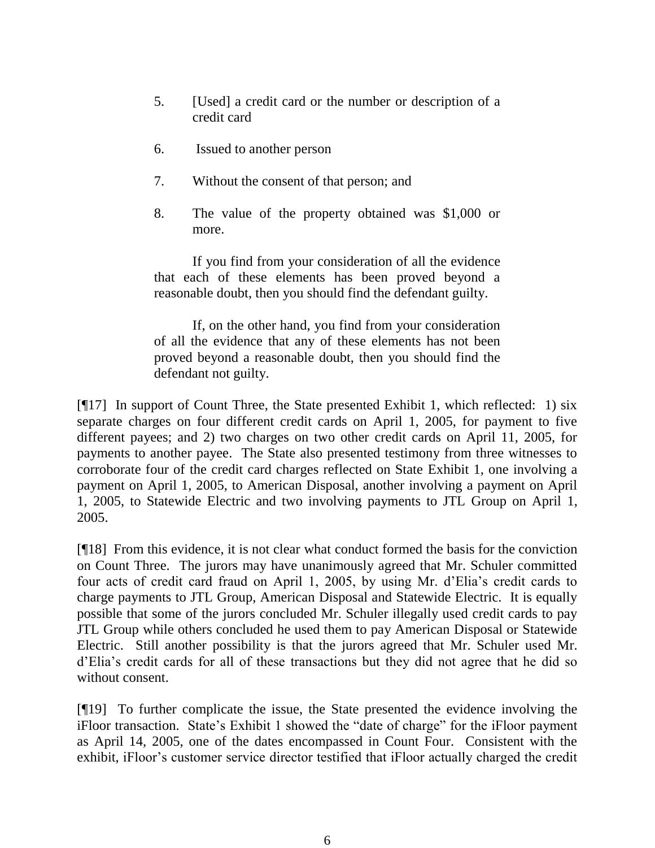- 5. [Used] a credit card or the number or description of a credit card
- 6. Issued to another person
- 7. Without the consent of that person; and
- 8. The value of the property obtained was \$1,000 or more.

If you find from your consideration of all the evidence that each of these elements has been proved beyond a reasonable doubt, then you should find the defendant guilty.

If, on the other hand, you find from your consideration of all the evidence that any of these elements has not been proved beyond a reasonable doubt, then you should find the defendant not guilty.

[ $[$ [17] In support of Count Three, the State presented Exhibit 1, which reflected: 1) six separate charges on four different credit cards on April 1, 2005, for payment to five different payees; and 2) two charges on two other credit cards on April 11, 2005, for payments to another payee. The State also presented testimony from three witnesses to corroborate four of the credit card charges reflected on State Exhibit 1, one involving a payment on April 1, 2005, to American Disposal, another involving a payment on April 1, 2005, to Statewide Electric and two involving payments to JTL Group on April 1, 2005.

[¶18] From this evidence, it is not clear what conduct formed the basis for the conviction on Count Three. The jurors may have unanimously agreed that Mr. Schuler committed four acts of credit card fraud on April 1, 2005, by using Mr. d'Elia's credit cards to charge payments to JTL Group, American Disposal and Statewide Electric. It is equally possible that some of the jurors concluded Mr. Schuler illegally used credit cards to pay JTL Group while others concluded he used them to pay American Disposal or Statewide Electric. Still another possibility is that the jurors agreed that Mr. Schuler used Mr. d'Elia's credit cards for all of these transactions but they did not agree that he did so without consent.

[¶19] To further complicate the issue, the State presented the evidence involving the iFloor transaction. State's Exhibit 1 showed the "date of charge" for the iFloor payment as April 14, 2005, one of the dates encompassed in Count Four. Consistent with the exhibit, iFloor's customer service director testified that iFloor actually charged the credit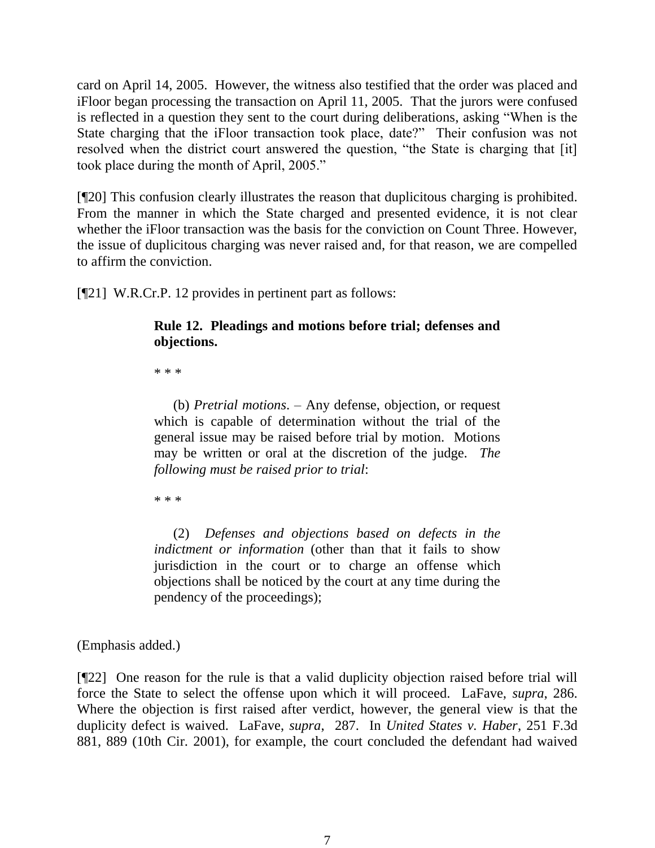card on April 14, 2005. However, the witness also testified that the order was placed and iFloor began processing the transaction on April 11, 2005. That the jurors were confused is reflected in a question they sent to the court during deliberations, asking "When is the State charging that the iFloor transaction took place, date?" Their confusion was not resolved when the district court answered the question, "the State is charging that [it] took place during the month of April, 2005."

[¶20] This confusion clearly illustrates the reason that duplicitous charging is prohibited. From the manner in which the State charged and presented evidence, it is not clear whether the iFloor transaction was the basis for the conviction on Count Three. However, the issue of duplicitous charging was never raised and, for that reason, we are compelled to affirm the conviction.

[¶21] W.R.Cr.P. 12 provides in pertinent part as follows:

### **Rule 12. Pleadings and motions before trial; defenses and objections.**

\* \* \*

(b) *Pretrial motions*. – Any defense, objection, or request which is capable of determination without the trial of the general issue may be raised before trial by motion. Motions may be written or oral at the discretion of the judge. *The following must be raised prior to trial*:

\* \* \*

(2) *Defenses and objections based on defects in the indictment or information* (other than that it fails to show jurisdiction in the court or to charge an offense which objections shall be noticed by the court at any time during the pendency of the proceedings);

(Emphasis added.)

[¶22] One reason for the rule is that a valid duplicity objection raised before trial will force the State to select the offense upon which it will proceed. LaFave, *supra*, 286. Where the objection is first raised after verdict, however, the general view is that the duplicity defect is waived. LaFave, *supra*, 287. In *United States v. Haber*, 251 F.3d 881, 889 (10th Cir. 2001), for example, the court concluded the defendant had waived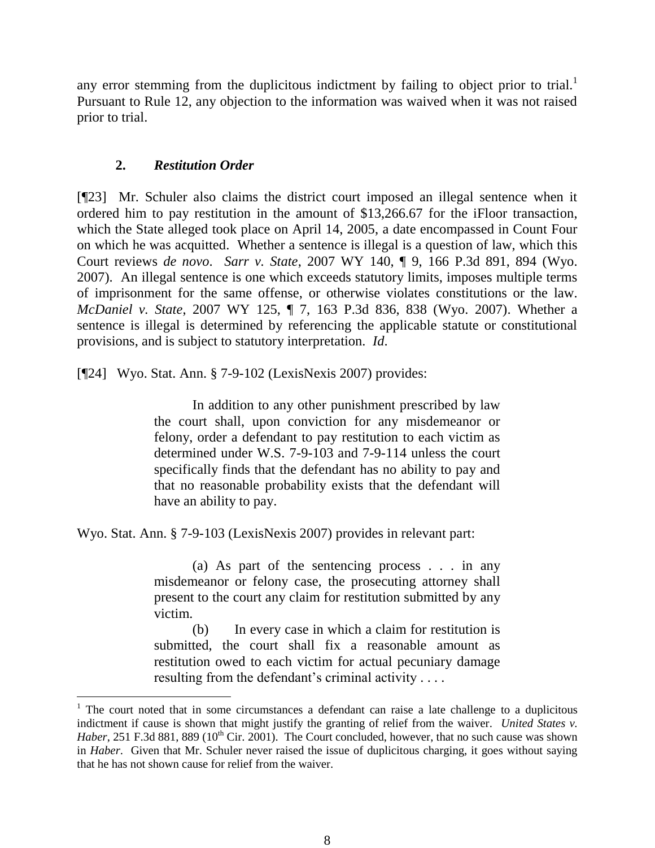any error stemming from the duplicitous indictment by failing to object prior to trial.<sup>1</sup> Pursuant to Rule 12, any objection to the information was waived when it was not raised prior to trial.

## **2.** *Restitution Order*

[¶23] Mr. Schuler also claims the district court imposed an illegal sentence when it ordered him to pay restitution in the amount of \$13,266.67 for the iFloor transaction, which the State alleged took place on April 14, 2005, a date encompassed in Count Four on which he was acquitted. Whether a sentence is illegal is a question of law, which this Court reviews *de novo*. *Sarr v. State*, 2007 WY 140, ¶ 9, 166 P.3d 891, 894 (Wyo. 2007). An illegal sentence is one which exceeds statutory limits, imposes multiple terms of imprisonment for the same offense, or otherwise violates constitutions or the law. *McDaniel v. State*, 2007 WY 125, ¶ 7, 163 P.3d 836, 838 (Wyo. 2007). Whether a sentence is illegal is determined by referencing the applicable statute or constitutional provisions, and is subject to statutory interpretation. *Id*.

[¶24] Wyo. Stat. Ann. § 7-9-102 (LexisNexis 2007) provides:

In addition to any other punishment prescribed by law the court shall, upon conviction for any misdemeanor or felony, order a defendant to pay restitution to each victim as determined under W.S. 7-9-103 and 7-9-114 unless the court specifically finds that the defendant has no ability to pay and that no reasonable probability exists that the defendant will have an ability to pay.

Wyo. Stat. Ann. § 7-9-103 (LexisNexis 2007) provides in relevant part:

(a) As part of the sentencing process . . . in any misdemeanor or felony case, the prosecuting attorney shall present to the court any claim for restitution submitted by any victim.

(b) In every case in which a claim for restitution is submitted, the court shall fix a reasonable amount as restitution owed to each victim for actual pecuniary damage resulting from the defendant's criminal activity . . . .

 $1$ . The court noted that in some circumstances a defendant can raise a late challenge to a duplicitous indictment if cause is shown that might justify the granting of relief from the waiver. *United States v. Haber*, 251 F.3d 881, 889 (10<sup>th</sup> Cir. 2001). The Court concluded, however, that no such cause was shown in *Haber*. Given that Mr. Schuler never raised the issue of duplicitous charging, it goes without saying that he has not shown cause for relief from the waiver.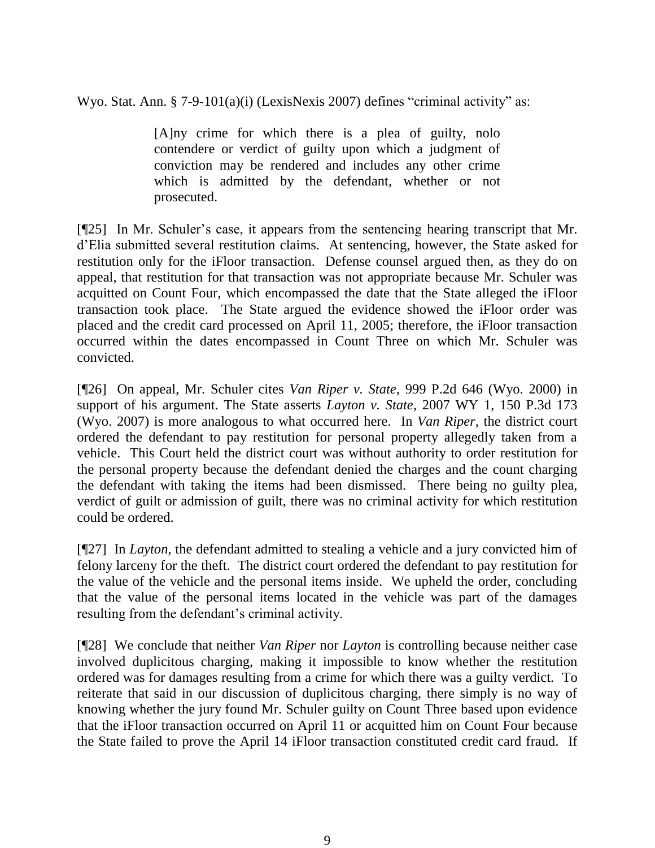Wyo. Stat. Ann. § 7-9-101(a)(i) (LexisNexis 2007) defines "criminal activity" as:

[A]ny crime for which there is a plea of guilty, nolo contendere or verdict of guilty upon which a judgment of conviction may be rendered and includes any other crime which is admitted by the defendant, whether or not prosecuted.

[¶25] In Mr. Schuler's case, it appears from the sentencing hearing transcript that Mr. d'Elia submitted several restitution claims. At sentencing, however, the State asked for restitution only for the iFloor transaction. Defense counsel argued then, as they do on appeal, that restitution for that transaction was not appropriate because Mr. Schuler was acquitted on Count Four, which encompassed the date that the State alleged the iFloor transaction took place. The State argued the evidence showed the iFloor order was placed and the credit card processed on April 11, 2005; therefore, the iFloor transaction occurred within the dates encompassed in Count Three on which Mr. Schuler was convicted.

[¶26] On appeal, Mr. Schuler cites *Van Riper v. State*, 999 P.2d 646 (Wyo. 2000) in support of his argument. The State asserts *Layton v. State*, 2007 WY 1, 150 P.3d 173 (Wyo. 2007) is more analogous to what occurred here. In *Van Riper*, the district court ordered the defendant to pay restitution for personal property allegedly taken from a vehicle. This Court held the district court was without authority to order restitution for the personal property because the defendant denied the charges and the count charging the defendant with taking the items had been dismissed. There being no guilty plea, verdict of guilt or admission of guilt, there was no criminal activity for which restitution could be ordered.

[¶27] In *Layton*, the defendant admitted to stealing a vehicle and a jury convicted him of felony larceny for the theft. The district court ordered the defendant to pay restitution for the value of the vehicle and the personal items inside. We upheld the order, concluding that the value of the personal items located in the vehicle was part of the damages resulting from the defendant's criminal activity.

[¶28] We conclude that neither *Van Riper* nor *Layton* is controlling because neither case involved duplicitous charging, making it impossible to know whether the restitution ordered was for damages resulting from a crime for which there was a guilty verdict. To reiterate that said in our discussion of duplicitous charging, there simply is no way of knowing whether the jury found Mr. Schuler guilty on Count Three based upon evidence that the iFloor transaction occurred on April 11 or acquitted him on Count Four because the State failed to prove the April 14 iFloor transaction constituted credit card fraud. If